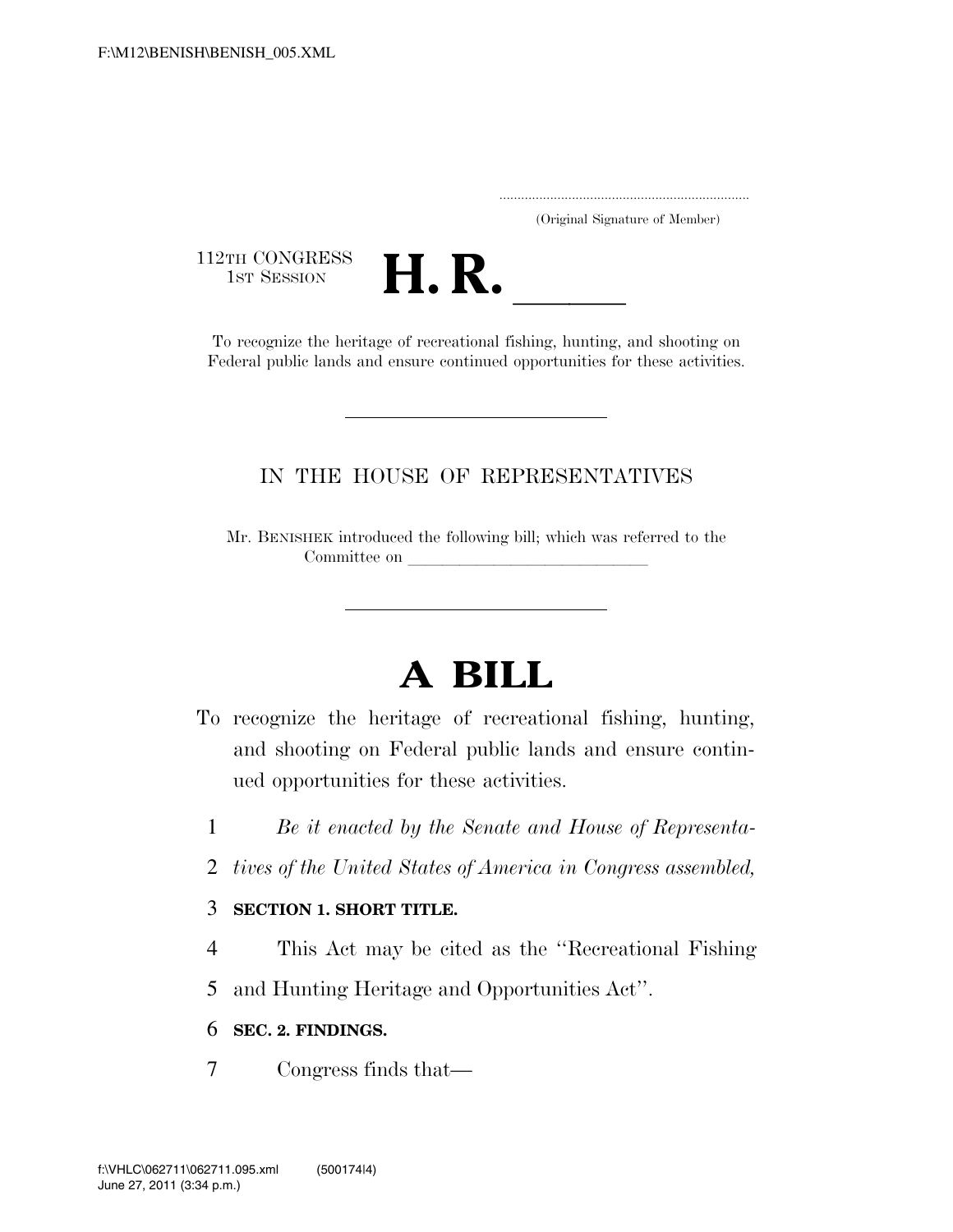..................................................................... (Original Signature of Member)

112TH CONGRESS<br>1st Session



2TH CONGRESS<br>1st SESSION **H. R.** <u>Indicates</u> of recreational fishing, hunting, and shooting on Federal public lands and ensure continued opportunities for these activities.

## IN THE HOUSE OF REPRESENTATIVES

Mr. BENISHEK introduced the following bill; which was referred to the Committee on

# **A BILL**

- To recognize the heritage of recreational fishing, hunting, and shooting on Federal public lands and ensure continued opportunities for these activities.
	- 1 *Be it enacted by the Senate and House of Representa-*
	- 2 *tives of the United States of America in Congress assembled,*

### 3 **SECTION 1. SHORT TITLE.**

- 4 This Act may be cited as the ''Recreational Fishing
- 5 and Hunting Heritage and Opportunities Act''.

### 6 **SEC. 2. FINDINGS.**

7 Congress finds that—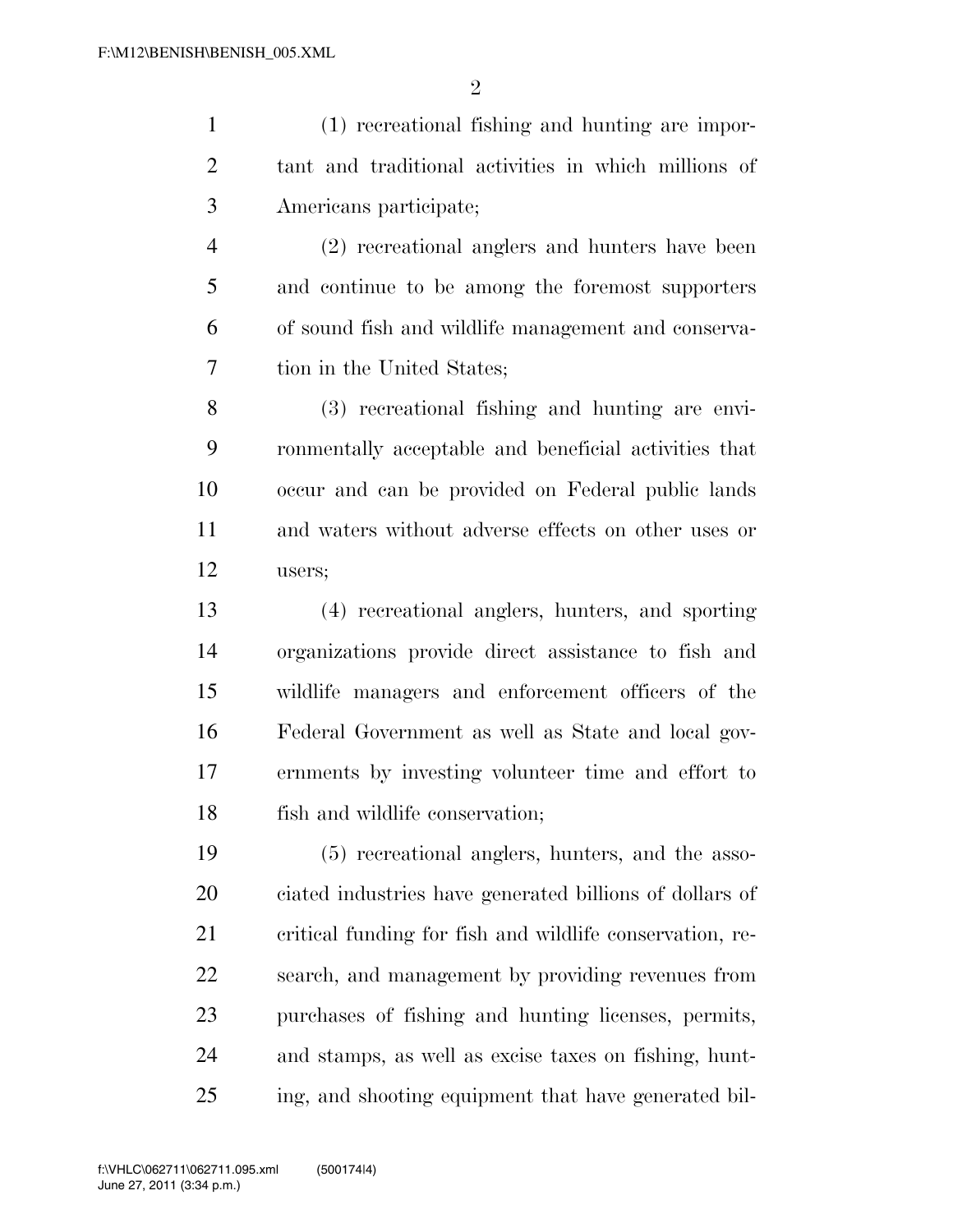$\mathfrak{D}$ 

 (1) recreational fishing and hunting are impor- tant and traditional activities in which millions of Americans participate; (2) recreational anglers and hunters have been

 and continue to be among the foremost supporters of sound fish and wildlife management and conserva-tion in the United States;

 (3) recreational fishing and hunting are envi- ronmentally acceptable and beneficial activities that occur and can be provided on Federal public lands and waters without adverse effects on other uses or users;

 (4) recreational anglers, hunters, and sporting organizations provide direct assistance to fish and wildlife managers and enforcement officers of the Federal Government as well as State and local gov- ernments by investing volunteer time and effort to fish and wildlife conservation;

 (5) recreational anglers, hunters, and the asso- ciated industries have generated billions of dollars of critical funding for fish and wildlife conservation, re- search, and management by providing revenues from purchases of fishing and hunting licenses, permits, and stamps, as well as excise taxes on fishing, hunt-ing, and shooting equipment that have generated bil-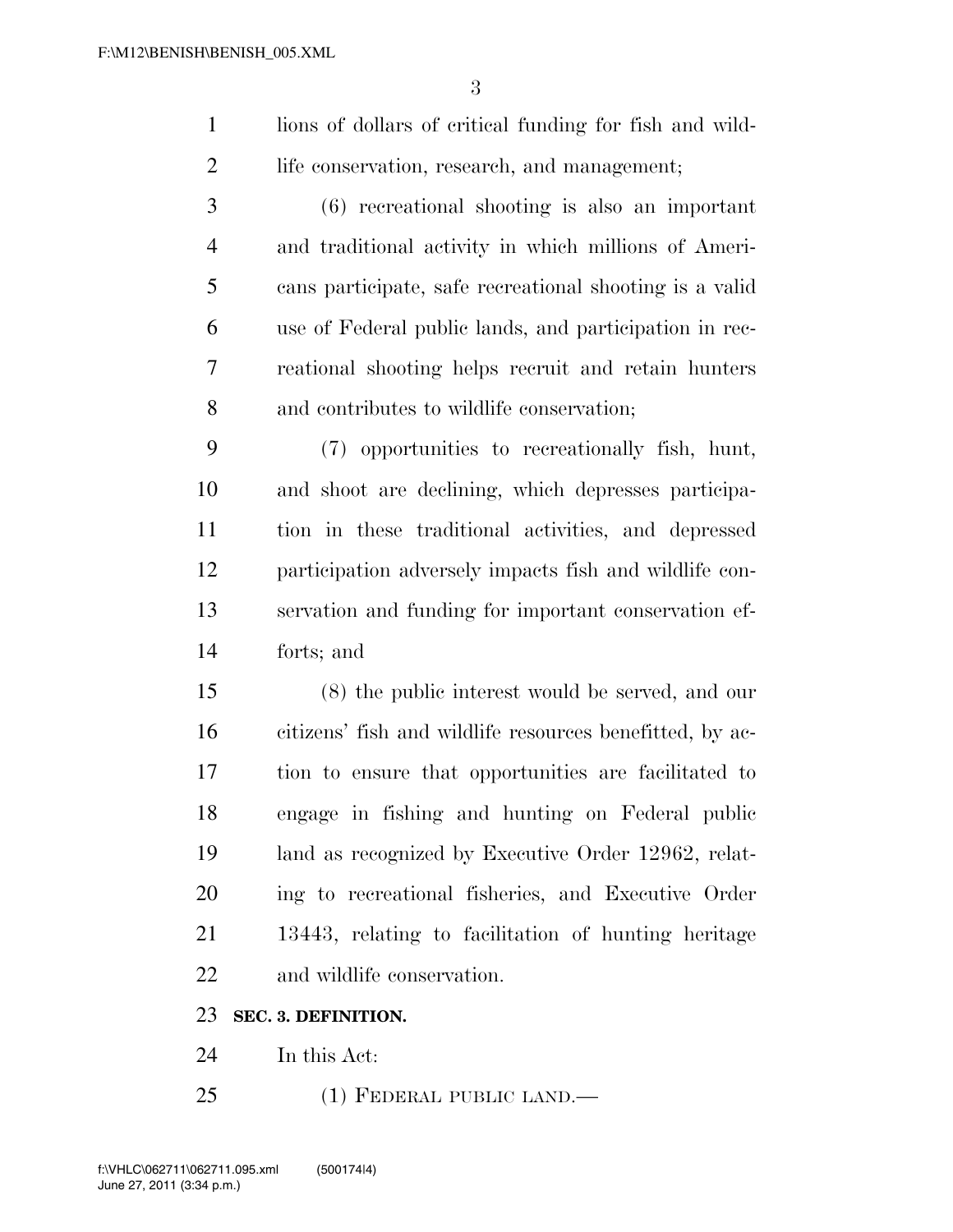lions of dollars of critical funding for fish and wild-life conservation, research, and management;

 (6) recreational shooting is also an important and traditional activity in which millions of Ameri- cans participate, safe recreational shooting is a valid use of Federal public lands, and participation in rec- reational shooting helps recruit and retain hunters and contributes to wildlife conservation;

 (7) opportunities to recreationally fish, hunt, and shoot are declining, which depresses participa- tion in these traditional activities, and depressed participation adversely impacts fish and wildlife con- servation and funding for important conservation ef-forts; and

 (8) the public interest would be served, and our citizens' fish and wildlife resources benefitted, by ac- tion to ensure that opportunities are facilitated to engage in fishing and hunting on Federal public land as recognized by Executive Order 12962, relat- ing to recreational fisheries, and Executive Order 13443, relating to facilitation of hunting heritage and wildlife conservation.

#### **SEC. 3. DEFINITION.**

- In this Act:
- (1) FEDERAL PUBLIC LAND.—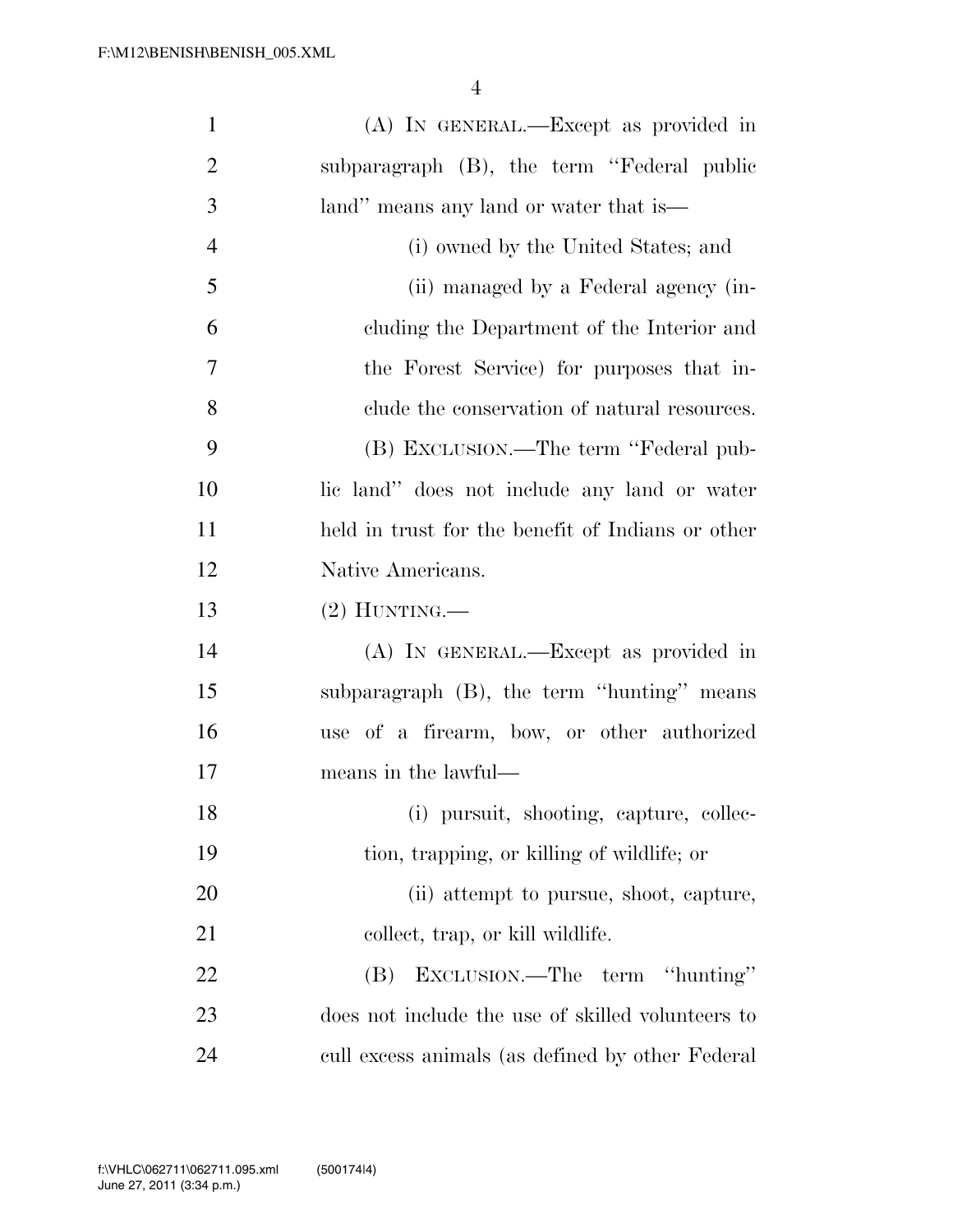| $\mathbf{1}$   | (A) IN GENERAL.—Except as provided in             |
|----------------|---------------------------------------------------|
| $\overline{2}$ | subparagraph (B), the term "Federal public        |
| 3              | land" means any land or water that is—            |
| $\overline{4}$ | (i) owned by the United States; and               |
| 5              | (ii) managed by a Federal agency (in-             |
| 6              | cluding the Department of the Interior and        |
| $\overline{7}$ | the Forest Service) for purposes that in-         |
| 8              | clude the conservation of natural resources.      |
| 9              | (B) EXCLUSION.—The term "Federal pub-             |
| 10             | lic land" does not include any land or water      |
| 11             | held in trust for the benefit of Indians or other |
| 12             | Native Americans.                                 |
| 13             | $(2)$ HUNTING.—                                   |
| 14             | (A) IN GENERAL.—Except as provided in             |
| 15             | subparagraph (B), the term "hunting" means        |
| 16             | use of a firearm, bow, or other authorized        |
| 17             | means in the lawful—                              |
| 18             | (i) pursuit, shooting, capture, collec-           |
| 19             | tion, trapping, or killing of wildlife; or        |
| 20             | (ii) attempt to pursue, shoot, capture,           |
| 21             | collect, trap, or kill wildlife.                  |
| 22             | (B) EXCLUSION.—The term "hunting"                 |
| 23             | does not include the use of skilled volunteers to |
| 24             | cull excess animals (as defined by other Federal  |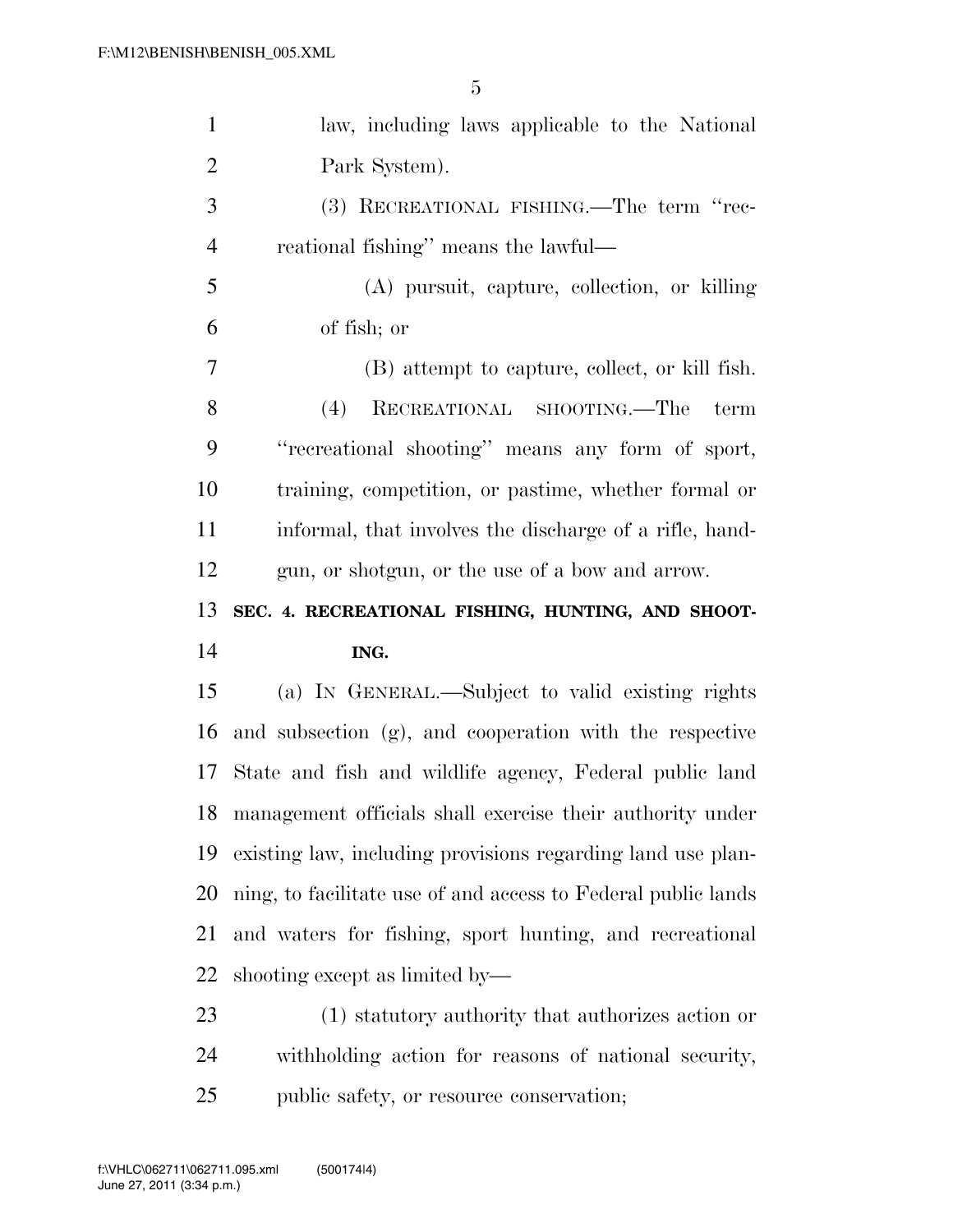| $\mathbf{1}$         | law, including laws applicable to the National                |
|----------------------|---------------------------------------------------------------|
| $\overline{2}$       | Park System).                                                 |
| 3                    | (3) RECREATIONAL FISHING.—The term "rec-                      |
| $\overline{4}$       | reational fishing" means the lawful—                          |
| 5                    | (A) pursuit, capture, collection, or killing                  |
| 6                    | of fish; or                                                   |
| 7                    | (B) attempt to capture, collect, or kill fish.                |
| 8                    | (4)<br>RECREATIONAL SHOOTING.—The<br>term                     |
| 9                    | "recreational shooting" means any form of sport,              |
| 10                   | training, competition, or pastime, whether formal or          |
| 11                   | informal, that involves the discharge of a rifle, hand-       |
| 12                   | gun, or shotgun, or the use of a bow and arrow.               |
|                      |                                                               |
| 13                   | SEC. 4. RECREATIONAL FISHING, HUNTING, AND SHOOT-             |
|                      | ING.                                                          |
|                      | (a) IN GENERAL.—Subject to valid existing rights              |
| 14<br>15<br>16       | and subsection (g), and cooperation with the respective       |
|                      | State and fish and wildlife agency, Federal public land       |
|                      | management officials shall exercise their authority under     |
|                      | existing law, including provisions regarding land use plan-   |
| 17<br>18<br>19<br>20 | ning, to facilitate use of and access to Federal public lands |
| 21                   | and waters for fishing, sport hunting, and recreational       |
| 22                   | shooting except as limited by—                                |
| 23                   | (1) statutory authority that authorizes action or             |
| 24                   | withholding action for reasons of national security,          |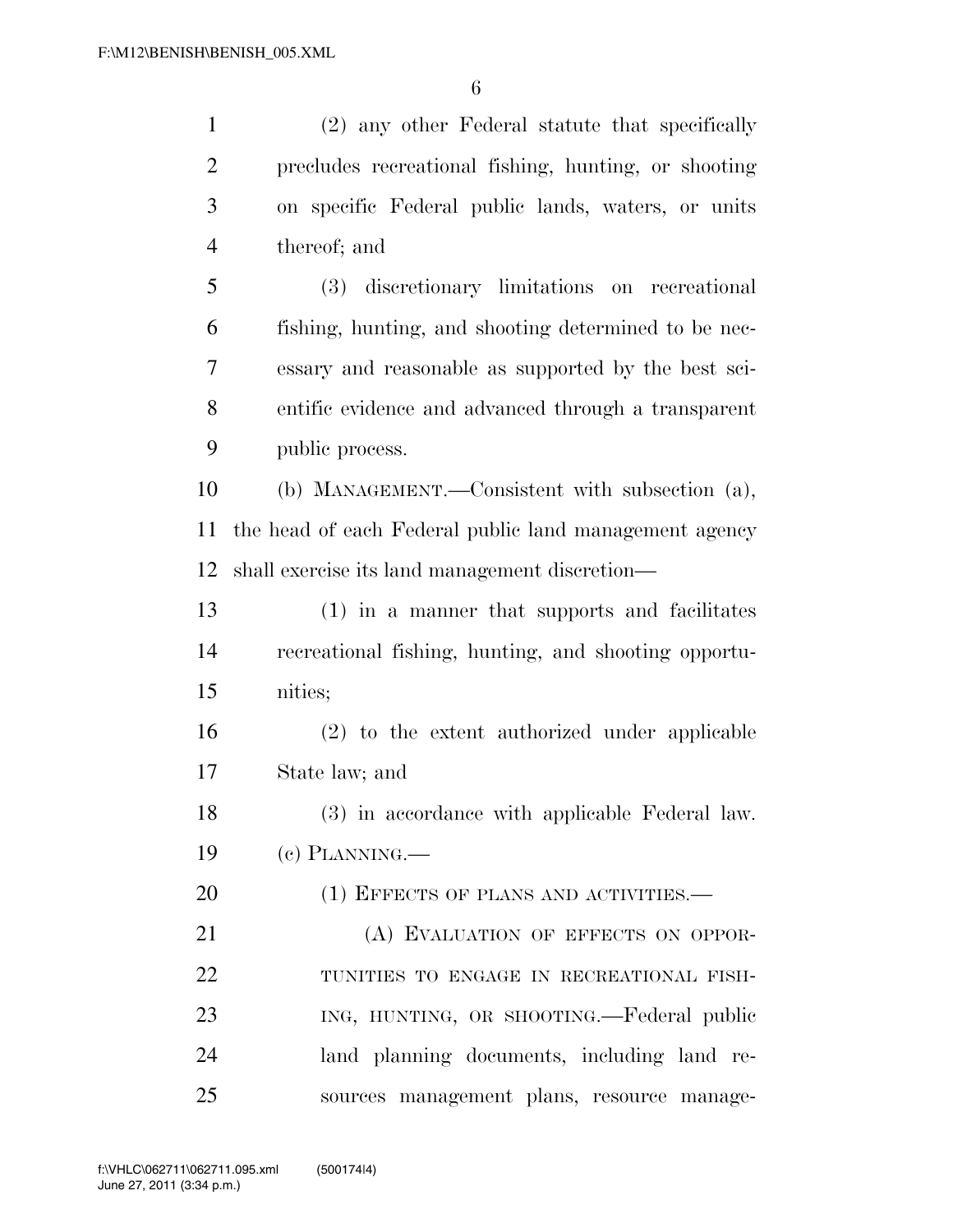| $\mathbf{1}$   | (2) any other Federal statute that specifically        |
|----------------|--------------------------------------------------------|
| $\overline{2}$ | precludes recreational fishing, hunting, or shooting   |
| 3              | on specific Federal public lands, waters, or units     |
| $\overline{4}$ | thereof; and                                           |
| 5              | (3) discretionary limitations on recreational          |
| 6              | fishing, hunting, and shooting determined to be nec-   |
| 7              | essary and reasonable as supported by the best sci-    |
| 8              | entific evidence and advanced through a transparent    |
| 9              | public process.                                        |
| 10             | (b) MANAGEMENT.—Consistent with subsection (a),        |
| 11             | the head of each Federal public land management agency |
| 12             | shall exercise its land management discretion—         |
| 13             | (1) in a manner that supports and facilitates          |
| 14             | recreational fishing, hunting, and shooting opportu-   |
| 15             | nities;                                                |
| 16             | (2) to the extent authorized under applicable          |
| 17             | State law; and                                         |
| 18             | (3) in accordance with applicable Federal law.         |
| 19             | $(e)$ PLANNING.—                                       |
| 20             | (1) EFFECTS OF PLANS AND ACTIVITIES.—                  |
| 21             | (A) EVALUATION OF EFFECTS ON OPPOR-                    |
| 22             | TUNITIES TO ENGAGE IN RECREATIONAL FISH-               |
| 23             | ING, HUNTING, OR SHOOTING.—Federal public              |
| 24             | land planning documents, including land re-            |
| 25             | sources management plans, resource manage-             |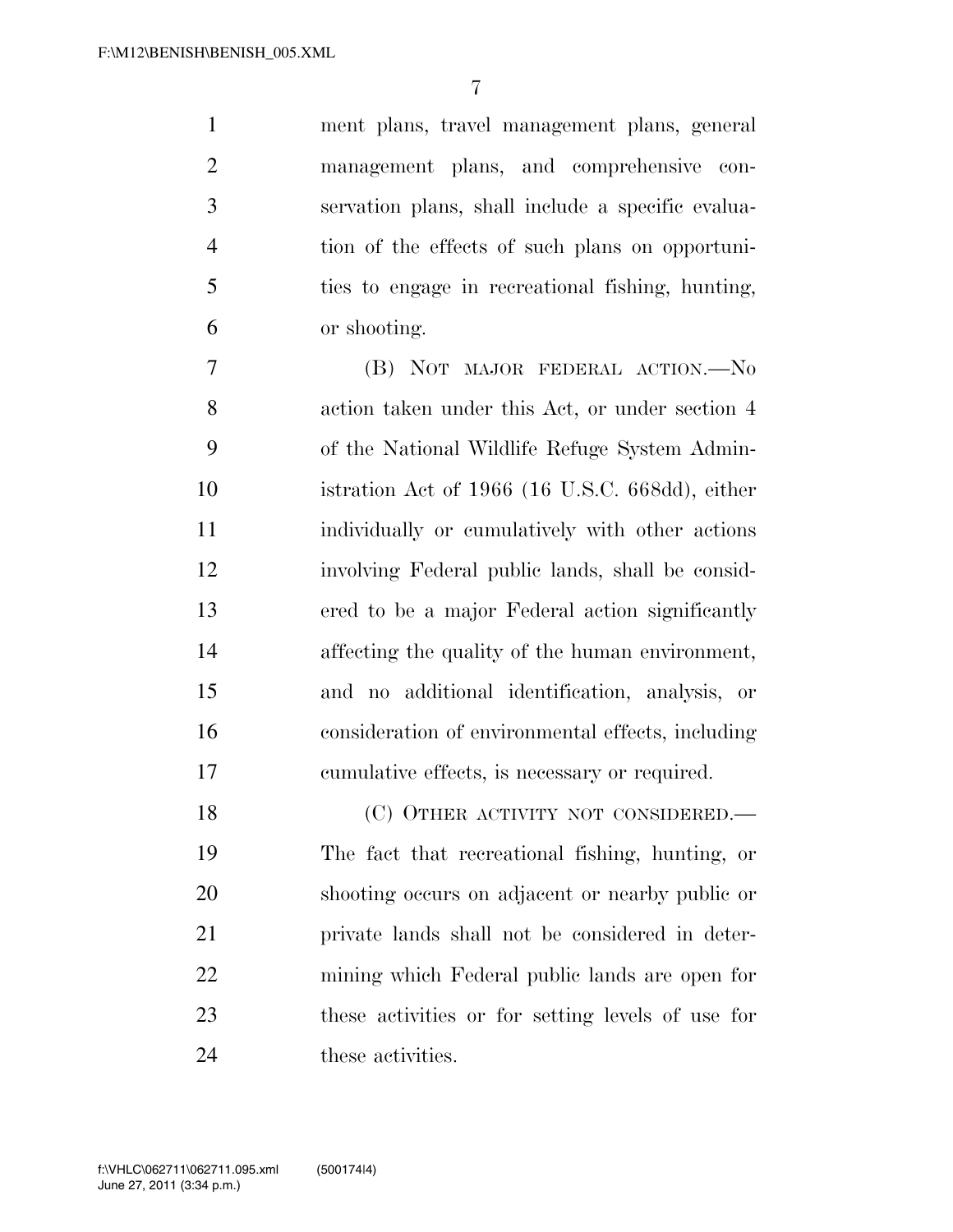ment plans, travel management plans, general management plans, and comprehensive con- servation plans, shall include a specific evalua- tion of the effects of such plans on opportuni- ties to engage in recreational fishing, hunting, or shooting.

 (B) NOT MAJOR FEDERAL ACTION.—No action taken under this Act, or under section 4 of the National Wildlife Refuge System Admin- istration Act of 1966 (16 U.S.C. 668dd), either individually or cumulatively with other actions involving Federal public lands, shall be consid- ered to be a major Federal action significantly affecting the quality of the human environment, and no additional identification, analysis, or consideration of environmental effects, including cumulative effects, is necessary or required.

18 (C) OTHER ACTIVITY NOT CONSIDERED.— The fact that recreational fishing, hunting, or shooting occurs on adjacent or nearby public or private lands shall not be considered in deter- mining which Federal public lands are open for these activities or for setting levels of use for 24 these activities.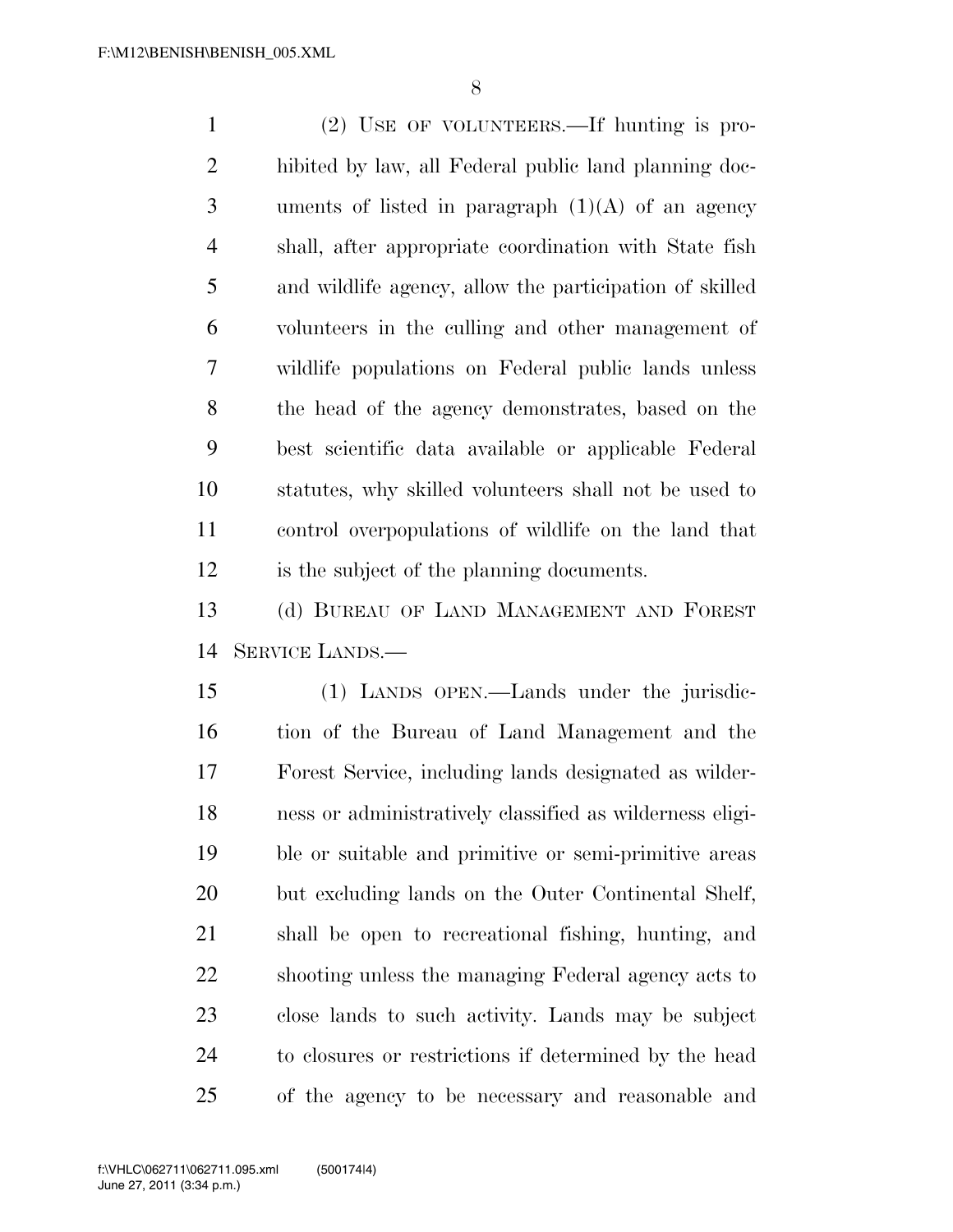(2) USE OF VOLUNTEERS.—If hunting is pro- hibited by law, all Federal public land planning doc-3 uments of listed in paragraph  $(1)(A)$  of an agency shall, after appropriate coordination with State fish and wildlife agency, allow the participation of skilled volunteers in the culling and other management of wildlife populations on Federal public lands unless the head of the agency demonstrates, based on the best scientific data available or applicable Federal statutes, why skilled volunteers shall not be used to control overpopulations of wildlife on the land that is the subject of the planning documents.

 (d) BUREAU OF LAND MANAGEMENT AND FOREST SERVICE LANDS.—

 (1) LANDS OPEN.—Lands under the jurisdic- tion of the Bureau of Land Management and the Forest Service, including lands designated as wilder- ness or administratively classified as wilderness eligi- ble or suitable and primitive or semi-primitive areas but excluding lands on the Outer Continental Shelf, shall be open to recreational fishing, hunting, and shooting unless the managing Federal agency acts to close lands to such activity. Lands may be subject to closures or restrictions if determined by the head of the agency to be necessary and reasonable and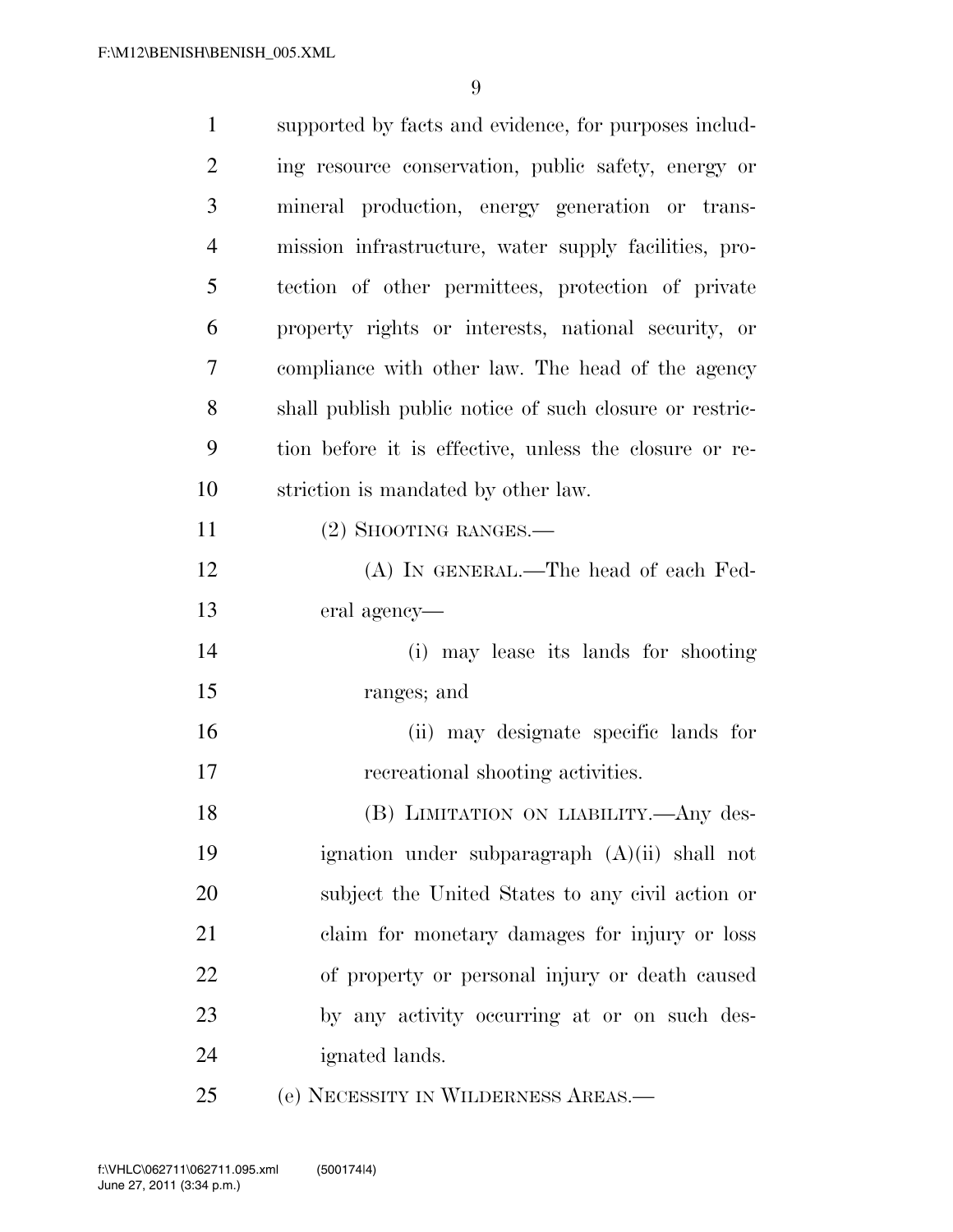| $\mathbf{1}$   | supported by facts and evidence, for purposes includ-   |
|----------------|---------------------------------------------------------|
| $\overline{2}$ | ing resource conservation, public safety, energy or     |
| 3              | mineral production, energy generation or trans-         |
| $\overline{4}$ | mission infrastructure, water supply facilities, pro-   |
| 5              | tection of other permittees, protection of private      |
| 6              | property rights or interests, national security, or     |
| 7              | compliance with other law. The head of the agency       |
| 8              | shall publish public notice of such closure or restric- |
| 9              | tion before it is effective, unless the closure or re-  |
| 10             | striction is mandated by other law.                     |
| 11             | $(2)$ SHOOTING RANGES.—                                 |
| 12             | (A) IN GENERAL.—The head of each Fed-                   |
| 13             | eral agency—                                            |
| 14             | (i) may lease its lands for shooting                    |
| 15             | ranges; and                                             |
| 16             | (ii) may designate specific lands for                   |
| 17             | recreational shooting activities.                       |
| 18             | (B) LIMITATION ON LIABILITY.—Any des-                   |
| 19             | ignation under subparagraph $(A)(ii)$ shall not         |
| 20             | subject the United States to any civil action or        |
| 21             | claim for monetary damages for injury or loss           |
| 22             | of property or personal injury or death caused          |
| 23             | by any activity occurring at or on such des-            |
| 24             | ignated lands.                                          |
| 25             | (e) NECESSITY IN WILDERNESS AREAS.—                     |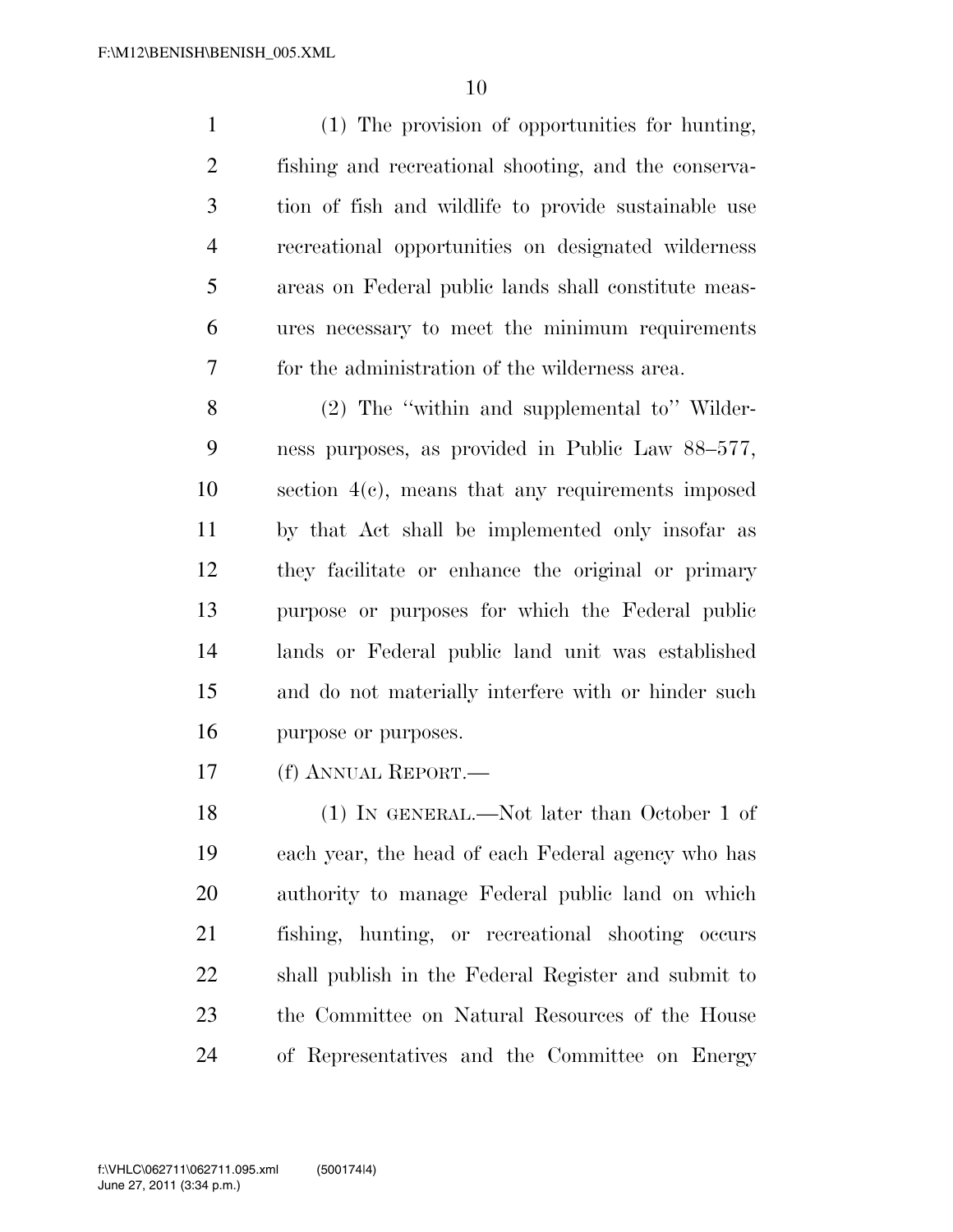(1) The provision of opportunities for hunting, fishing and recreational shooting, and the conserva- tion of fish and wildlife to provide sustainable use recreational opportunities on designated wilderness areas on Federal public lands shall constitute meas- ures necessary to meet the minimum requirements for the administration of the wilderness area.

 (2) The ''within and supplemental to'' Wilder- ness purposes, as provided in Public Law 88–577, section 4(c), means that any requirements imposed by that Act shall be implemented only insofar as they facilitate or enhance the original or primary purpose or purposes for which the Federal public lands or Federal public land unit was established and do not materially interfere with or hinder such purpose or purposes.

(f) ANNUAL REPORT.—

 (1) IN GENERAL.—Not later than October 1 of each year, the head of each Federal agency who has authority to manage Federal public land on which fishing, hunting, or recreational shooting occurs shall publish in the Federal Register and submit to the Committee on Natural Resources of the House of Representatives and the Committee on Energy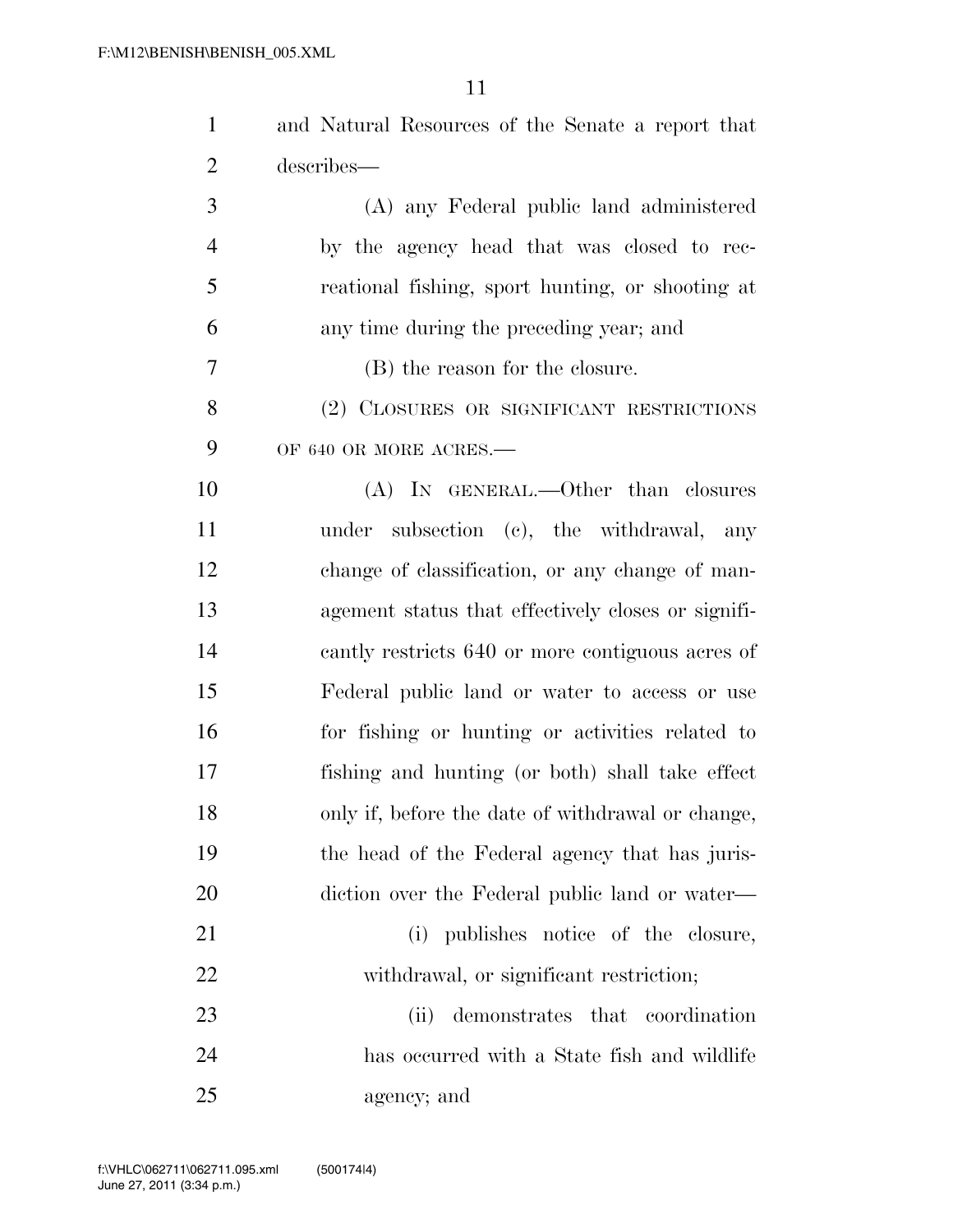| $\mathbf{1}$   | and Natural Resources of the Senate a report that  |
|----------------|----------------------------------------------------|
| $\overline{2}$ | describes—                                         |
| 3              | (A) any Federal public land administered           |
| $\overline{4}$ | by the agency head that was closed to rec-         |
| 5              | reational fishing, sport hunting, or shooting at   |
| 6              | any time during the preceding year; and            |
| 7              | (B) the reason for the closure.                    |
| 8              | (2) CLOSURES OR SIGNIFICANT RESTRICTIONS           |
| 9              | OF 640 OR MORE ACRES.-                             |
| 10             | (A) IN GENERAL.—Other than closures                |
| 11             | under subsection (c), the withdrawal, any          |
| 12             | change of classification, or any change of man-    |
| 13             | agement status that effectively closes or signifi- |
| 14             | cantly restricts 640 or more contiguous acres of   |
| 15             | Federal public land or water to access or use      |
| 16             | for fishing or hunting or activities related to    |
| 17             | fishing and hunting (or both) shall take effect    |
| 18             | only if, before the date of withdrawal or change,  |
| 19             | the head of the Federal agency that has juris-     |
| 20             | diction over the Federal public land or water—     |
| 21             | (i) publishes notice of the closure,               |
| 22             | withdrawal, or significant restriction;            |
| 23             | demonstrates that coordination<br>(ii)             |
| 24             | has occurred with a State fish and wildlife        |
| 25             | agency; and                                        |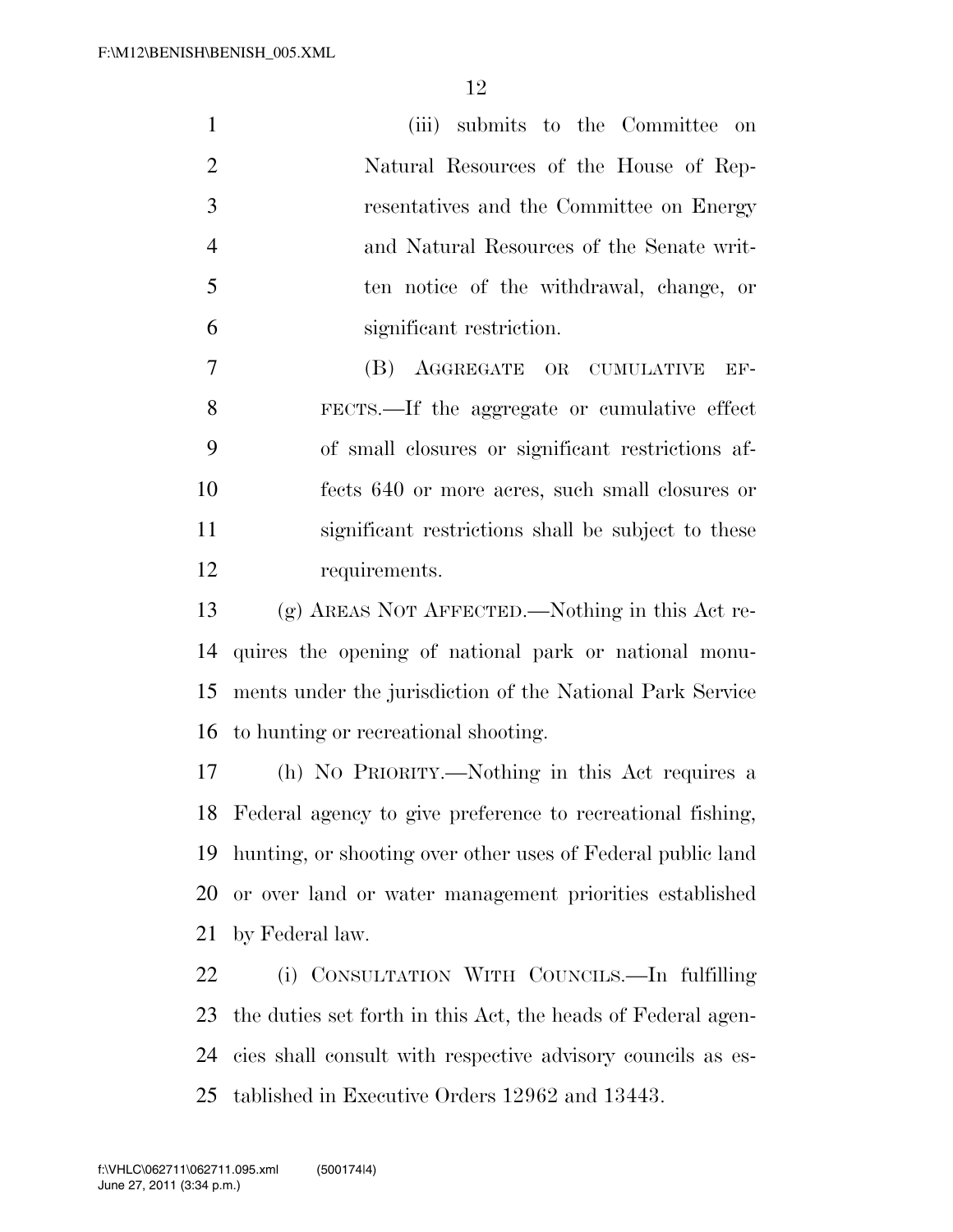| $\mathbf{1}$   | submits to the Committee<br>(iii)<br>on                      |
|----------------|--------------------------------------------------------------|
| $\overline{2}$ | Natural Resources of the House of Rep-                       |
| 3              | resentatives and the Committee on Energy                     |
| $\overline{4}$ | and Natural Resources of the Senate writ-                    |
| $\mathfrak{S}$ | ten notice of the withdrawal, change, or                     |
| 6              | significant restriction.                                     |
| 7              | (B)<br>AGGREGATE OR CUMULATIVE<br>EF-                        |
| 8              | FECTS.—If the aggregate or cumulative effect                 |
| 9              | of small closures or significant restrictions af-            |
| 10             | fects 640 or more acres, such small closures or              |
| 11             | significant restrictions shall be subject to these           |
| 12             | requirements.                                                |
| 13             | (g) AREAS NOT AFFECTED.—Nothing in this Act re-              |
| 14             | quires the opening of national park or national monu-        |
| 15             | ments under the jurisdiction of the National Park Service    |
| 16             | to hunting or recreational shooting.                         |
| 17             | (h) NO PRIORITY.—Nothing in this Act requires a              |
| 18             | Federal agency to give preference to recreational fishing,   |
| 19             | hunting, or shooting over other uses of Federal public land  |
| 20             | or over land or water management priorities established      |
| 21             | by Federal law.                                              |
| 22             | (i) CONSULTATION WITH COUNCILS.—In fulfilling                |
| 23             | the duties set forth in this Act, the heads of Federal agen- |
| 24             | cies shall consult with respective advisory councils as es-  |

tablished in Executive Orders 12962 and 13443.